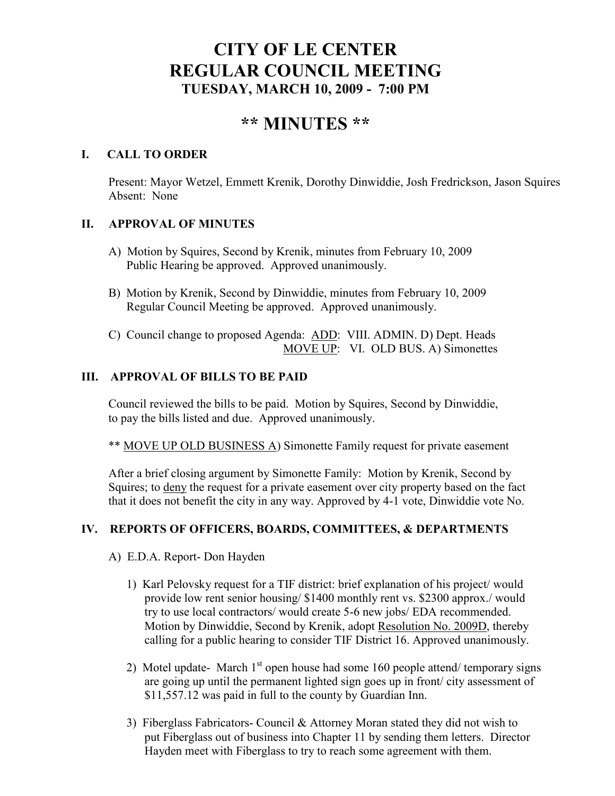## **CITY OF LE CENTER REGULAR COUNCIL MEETING TUESDAY, MARCH 10, 2009 - 7:00 PM**

# **\*\* MI UTES \*\***

## **I. CALL TO ORDER**

Present: Mayor Wetzel, Emmett Krenik, Dorothy Dinwiddie, Josh Fredrickson, Jason Squires Absent: None

## **II. APPROVAL OF MINUTES**

- A) Motion by Squires, Second by Krenik, minutes from February 10, 2009 Public Hearing be approved. Approved unanimously.
- B) Motion by Krenik, Second by Dinwiddie, minutes from February 10, 2009 Regular Council Meeting be approved. Approved unanimously.
- C) Council change to proposed Agenda: ADD: VIII. ADMIN. D) Dept. Heads MOVE UP: VI. OLD BUS. A) Simonettes

## **III. APPROVAL OF BILLS TO BE PAID**

Council reviewed the bills to be paid. Motion by Squires, Second by Dinwiddie, to pay the bills listed and due. Approved unanimously.

\*\* MOVE UP OLD BUSINESS A) Simonette Family request for private easement

After a brief closing argument by Simonette Family: Motion by Krenik, Second by Squires; to deny the request for a private easement over city property based on the fact that it does not benefit the city in any way. Approved by 4-1 vote, Dinwiddie vote No.

## **IV. REPORTS OF OFFICERS, BOARDS, COMMITTEES, & DEPARTME TS**

- A) E.D.A. Report- Don Hayden
	- 1) Karl Pelovsky request for a TIF district: brief explanation of his project/ would provide low rent senior housing/ \$1400 monthly rent vs. \$2300 approx./ would try to use local contractors/ would create 5-6 new jobs/ EDA recommended. Motion by Dinwiddie, Second by Krenik, adopt Resolution No. 2009D, thereby calling for a public hearing to consider TIF District 16. Approved unanimously.
	- 2) Motel update- March  $1<sup>st</sup>$  open house had some 160 people attend/ temporary signs are going up until the permanent lighted sign goes up in front/ city assessment of \$11,557.12 was paid in full to the county by Guardian Inn.
	- 3) Fiberglass Fabricators- Council & Attorney Moran stated they did not wish to put Fiberglass out of business into Chapter 11 by sending them letters. Director Hayden meet with Fiberglass to try to reach some agreement with them.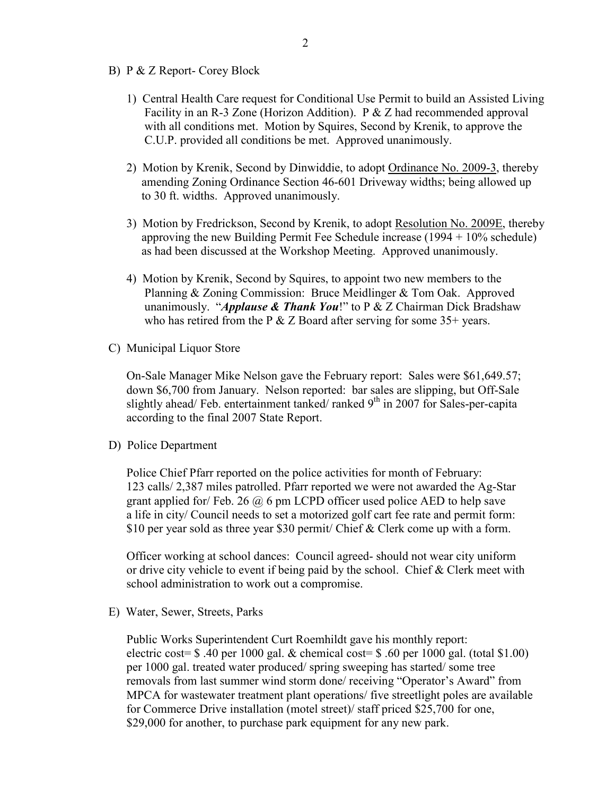- B) P & Z Report- Corey Block
	- 1) Central Health Care request for Conditional Use Permit to build an Assisted Living Facility in an R-3 Zone (Horizon Addition). P & Z had recommended approval with all conditions met. Motion by Squires, Second by Krenik, to approve the C.U.P. provided all conditions be met. Approved unanimously.
	- 2) Motion by Krenik, Second by Dinwiddie, to adopt Ordinance No. 2009-3, thereby amending Zoning Ordinance Section 46-601 Driveway widths; being allowed up to 30 ft. widths. Approved unanimously.
	- 3) Motion by Fredrickson, Second by Krenik, to adopt Resolution No. 2009E, thereby approving the new Building Permit Fee Schedule increase (1994 + 10% schedule) as had been discussed at the Workshop Meeting. Approved unanimously.
	- 4) Motion by Krenik, Second by Squires, to appoint two new members to the Planning & Zoning Commission: Bruce Meidlinger & Tom Oak. Approved unanimously. "*Applause & Thank You*!" to P & Z Chairman Dick Bradshaw who has retired from the P  $& Z$  Board after serving for some 35+ years.
- C) Municipal Liquor Store

On-Sale Manager Mike Nelson gave the February report: Sales were \$61,649.57; down \$6,700 from January. Nelson reported: bar sales are slipping, but Off-Sale slightly ahead/ Feb. entertainment tanked/ ranked  $9<sup>th</sup>$  in 2007 for Sales-per-capita according to the final 2007 State Report.

D) Police Department

Police Chief Pfarr reported on the police activities for month of February: 123 calls/ 2,387 miles patrolled. Pfarr reported we were not awarded the Ag-Star grant applied for/ Feb. 26  $\omega$  6 pm LCPD officer used police AED to help save a life in city/ Council needs to set a motorized golf cart fee rate and permit form: \$10 per year sold as three year \$30 permit/ Chief & Clerk come up with a form.

Officer working at school dances: Council agreed- should not wear city uniform or drive city vehicle to event if being paid by the school. Chief & Clerk meet with school administration to work out a compromise.

E) Water, Sewer, Streets, Parks

 Public Works Superintendent Curt Roemhildt gave his monthly report: electric cost=  $$.40$  per 1000 gal. & chemical cost=  $$.60$  per 1000 gal. (total  $$1.00$ ) per 1000 gal. treated water produced/ spring sweeping has started/ some tree removals from last summer wind storm done/ receiving "Operator's Award" from MPCA for wastewater treatment plant operations/ five streetlight poles are available for Commerce Drive installation (motel street)/ staff priced \$25,700 for one, \$29,000 for another, to purchase park equipment for any new park.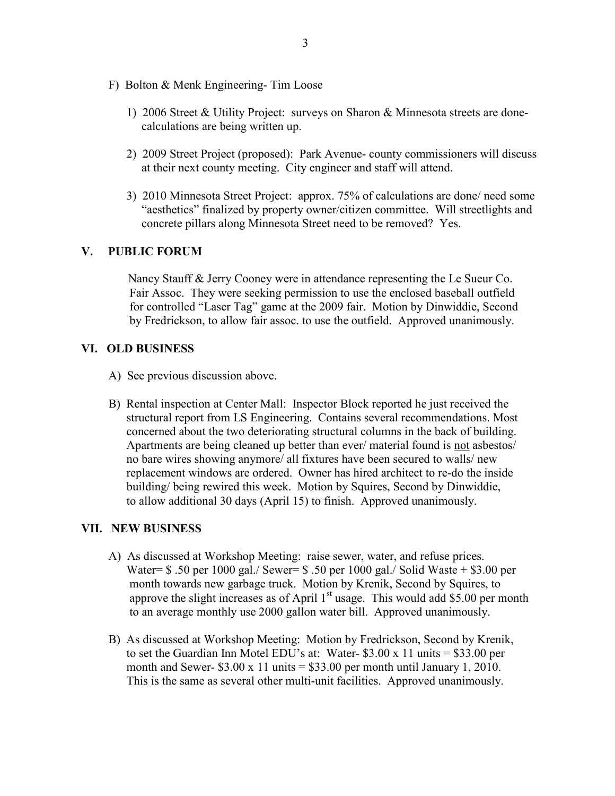- F) Bolton & Menk Engineering- Tim Loose
	- 1) 2006 Street & Utility Project: surveys on Sharon & Minnesota streets are done calculations are being written up.
	- 2) 2009 Street Project (proposed): Park Avenue- county commissioners will discuss at their next county meeting. City engineer and staff will attend.
	- 3) 2010 Minnesota Street Project: approx. 75% of calculations are done/ need some "aesthetics" finalized by property owner/citizen committee. Will streetlights and concrete pillars along Minnesota Street need to be removed? Yes.

#### **V. PUBLIC FORUM**

 Nancy Stauff & Jerry Cooney were in attendance representing the Le Sueur Co. Fair Assoc. They were seeking permission to use the enclosed baseball outfield for controlled "Laser Tag" game at the 2009 fair. Motion by Dinwiddie, Second by Fredrickson, to allow fair assoc. to use the outfield. Approved unanimously.

#### **VI. OLD BUSI ESS**

- A) See previous discussion above.
- B) Rental inspection at Center Mall: Inspector Block reported he just received the structural report from LS Engineering. Contains several recommendations. Most concerned about the two deteriorating structural columns in the back of building. Apartments are being cleaned up better than ever/ material found is not asbestos/ no bare wires showing anymore/ all fixtures have been secured to walls/ new replacement windows are ordered. Owner has hired architect to re-do the inside building/ being rewired this week. Motion by Squires, Second by Dinwiddie, to allow additional 30 days (April 15) to finish. Approved unanimously.

#### **VII. EW BUSI ESS**

- A) As discussed at Workshop Meeting: raise sewer, water, and refuse prices. Water= \$ .50 per 1000 gal./ Sewer= \$ .50 per 1000 gal./ Solid Waste + \$3.00 per month towards new garbage truck. Motion by Krenik, Second by Squires, to approve the slight increases as of April  $1<sup>st</sup>$  usage. This would add \$5.00 per month to an average monthly use 2000 gallon water bill. Approved unanimously.
- B) As discussed at Workshop Meeting: Motion by Fredrickson, Second by Krenik, to set the Guardian Inn Motel EDU's at: Water- \$3.00 x 11 units = \$33.00 per month and Sewer-  $$3.00 \times 11 \text{ units} = $33.00 \text{ per month until January 1, } 2010$ . This is the same as several other multi-unit facilities. Approved unanimously.